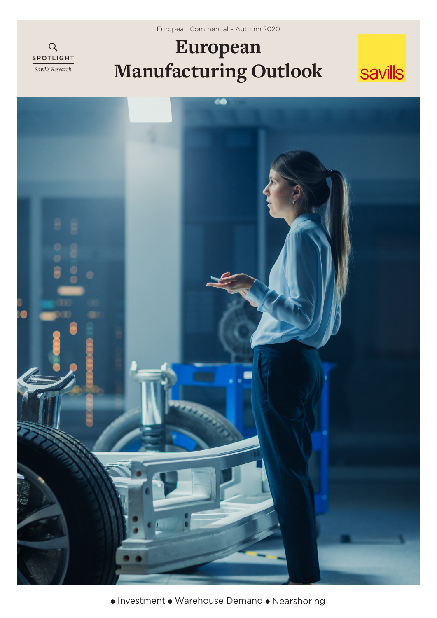European Commercial – Autumn 2020

# **European Manufacturing Outlook**

SPOTLIGHT *Savills Research*

 $\alpha$ 





• Investment • Warehouse Demand • Nearshoring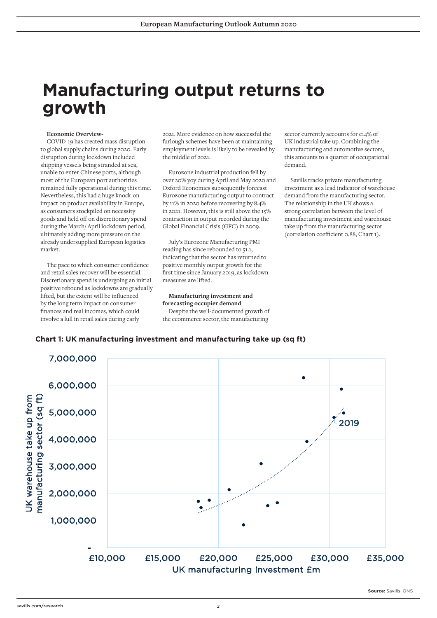## **Manufacturing output returns to growth**

#### **Economic Overview-**

COVID-19 has created mass disruption to global supply chains during 2020. Early disruption during lockdown included shipping vessels being stranded at sea, unable to enter Chinese ports, although most of the European port authorities remained fully operational during this time. Nevertheless, this had a huge knock-on impact on product availability in Europe, as consumers stockpiled on necessity goods and held off on discretionary spend during the March/ April lockdown period, ultimately adding more pressure on the already undersupplied European logistics market.

The pace to which consumer confidence and retail sales recover will be essential. Discretionary spend is undergoing an initial positive rebound as lockdowns are gradually lifted, but the extent will be influenced by the long term impact on consumer finances and real incomes, which could involve a lull in retail sales during early

2021. More evidence on how successful the furlough schemes have been at maintaining employment levels is likely to be revealed by the middle of 2021.

Eurozone industrial production fell by over 20% yoy during April and May 2020 and Oxford Economics subsequently forecast Eurozone manufacturing output to contract by 11% in 2020 before recovering by 8.4% in 2021. However, this is still above the 15% contraction in output recorded during the Global Financial Crisis (GFC) in 2009.

July's Eurozone Manufacturing PMI reading has since rebounded to 51.1, indicating that the sector has returned to positive monthly output growth for the first time since January 2019, as lockdown measures are lifted.

**Manufacturing investment and forecasting occupier demand**  Despite the well-documented growth of the ecommerce sector, the manufacturing

sector currently accounts for c14% of UK industrial take up. Combining the manufacturing and automotive sectors, this amounts to a quarter of occupational demand.

Savills tracks private manufacturing investment as a lead indicator of warehouse demand from the manufacturing sector. The relationship in the UK shows a strong correlation between the level of manufacturing investment and warehouse take up from the manufacturing sector (correlation coefficient 0.88, Chart 1).

### **Chart 1: UK manufacturing investment and manufacturing take up (sq ft)**

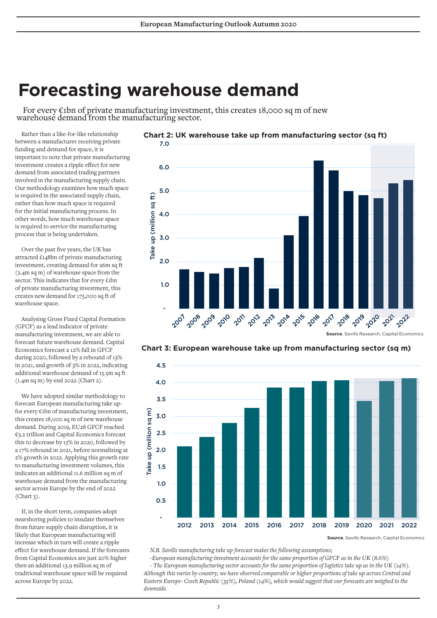## **Forecasting warehouse demand**

For every  $\epsilon$ 1bn of private manufacturing investment, this creates 18,000 sq m of new warehouse demand from the manufacturing sector.

Rather than a like-for-like relationship between a manufacturer receiving private funding and demand for space, it is important to note that private manufacturing investment creates a ripple effect for new demand from associated trading partners involved in the manufacturing supply chain. Our methodology examines how much space is required in the associated supply chain, rather than how much space is required for the initial manufacturing process. In other words, how much warehouse space is required to service the manufacturing process that is being undertaken.

Over the past five years, the UK has attracted £148bn of private manufacturing investment, creating demand for 26m sq ft (2.4m sq m) of warehouse space from the sector. This indicates that for every £1bn of private manufacturing investment, this creates new demand for 175,000 sq ft of warehouse space.

Analysing Gross Fixed Capital Formation (GFCF) as a lead indicator of private manufacturing investment, we are able to forecast future warehouse demand. Capital Economics forecast a 12% fall in GFCF during 2020, followed by a rebound of 13% in 2021, and growth of 3% in 2022, indicating additional warehouse demand of 15.5m sq ft (1.4m sq m) by end 2022 (Chart 2).

We have adopted similar methodology to forecast European manufacturing take upfor every €1bn of manufacturing investment, this creates 18,000 sq m of new warehouse demand. During 2019, EU28 GFCF reached €3.2 trillion and Capital Economics forecast this to decrease by 15% in 2020, followed by a 17% rebound in 2021, before normalising at 2% growth in 2022. Applying this growth rate to manufacturing investment volumes, this indicates an additional 11.6 million sq m of warehouse demand from the manufacturing sector across Europe by the end of 2022  $(Chart 3)$ .

If, in the short term, companies adopt nearshoring policies to insulate themselves from future supply chain disruption, it is likely that European manufacturing will increase which in turn will create a ripple effect for warehouse demand. If the forecasts from Capital Economics are just 20% higher then an additional 13.9 million sq m of traditional warehouse space will be required across Europe by 2022.







**Source**, Savills Research, Capital Economics

*N.B. Savills manufacturing take up forecast makes the following assumptions;* 

*-European manufacturing investment accounts for the same proportion of GFCF as in the UK (8.6%) - The European manufacturing sector accounts for the same proportion of logistics take up as in the UK (14%). Although this varies by country, we have observed comparable or higher proportions of take up across Central and Eastern Europe- Czech Republic (35%), Poland (14%), which would suggest that our forecasts are weighed to the* 

*downside.*

## **Chart 2: UK warehouse take up from manufacturing sector (sq ft)**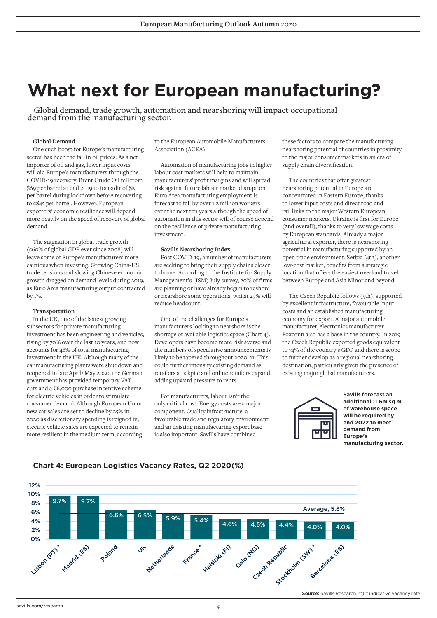# **What next for European manufacturing?**

Global demand, trade growth, automation and nearshoring will impact occupational demand from the manufacturing sector.

#### **Global Demand**

One such boost for Europe's manufacturing sector has been the fall in oil prices. As a net importer of oil and gas, lower input costs will aid Europe's manufacturers through the COVID-19 recovery. Brent Crude Oil fell from \$69 per barrel at end 2019 to its nadir of \$21 per barrel during lockdown before recovering to c\$45 per barrel. However, European exporters' economic resilience will depend more heavily on the speed of recovery of global demand.

The stagnation in global trade growth (c60% of global GDP ever since 2008) will leave some of Europe's manufacturers more cautious when investing. Growing China-US trade tensions and slowing Chinese economic growth dragged on demand levels during 2019, as Euro Area manufacturing output contracted by 1%.

#### **Transportation**

In the UK, one of the fastest growing subsectors for private manufacturing investment has been engineering and vehicles, rising by 70% over the last 10 years, and now accounts for 46% of total manufacturing investment in the UK. Although many of the car manufacturing plants were shut down and reopened in late April/ May 2020, the German government has provided temporary VAT cuts and a €6,000 purchase incentive scheme for electric vehicles in order to stimulate consumer demand. Although European Union new car sales are set to decline by 25% in 2020 as discretionary spending is reigned in, electric vehicle sales are expected to remain more resilient in the medium term, according

to the European Automobile Manufacturers Association (ACEA).

Automation of manufacturing jobs in higher labour cost markets will help to maintain manufacturers' profit margins and will spread risk against future labour market disruption. Euro Area manufacturing employment is forecast to fall by over 1.2 million workers over the next ten years although the speed of automation in this sector will of course depend on the resilience of private manufacturing investment.

#### **Savills Nearshoring Index**

Post COVID-19, a number of manufacturers are seeking to bring their supply chains closer to home. According to the Institute for Supply Management's (ISM) July survey, 20% of firms are planning or have already begun to reshore or nearshore some operations, whilst 27% will reduce headcount.

One of the challenges for Europe's manufacturers looking to nearshore is the shortage of available logistics space (Chart 4). Developers have become more risk averse and the numbers of speculative announcements is likely to be tapered throughout 2020-21. This could further intensify existing demand as retailers stockpile and online retailers expand, adding upward pressure to rents.

For manufacturers, labour isn't the only critical cost. Energy costs are a major component. Quality infrastructure, a favourable trade and regulatory environment and an existing manufacturing export base is also important. Savills have combined

these factors to compare the manufacturing nearshoring potential of countries in proximity to the major consumer markets in an era of supply chain diversification.

The countries that offer greatest nearshoring potential in Europe are concentrated in Eastern Europe, thanks to lower input costs and direct road and rail links to the major Western European consumer markets. Ukraine is first for Europe (2nd overall), thanks to very low wage costs by European standards. Already a major agricultural exporter, there is nearshoring potential in manufacturing supported by an open trade environment. Serbia (4th), another low-cost market, benefits from a strategic location that offers the easiest overland travel between Europe and Asia Minor and beyond.

The Czech Republic follows (5th), supported by excellent infrastructure, favourable input costs and an established manufacturing economy for export. A major automobile manufacturer, electronics manufacturer Foxconn also has a base in the country. In 2019 the Czech Republic exported goods equivalent to 74% of the country's GDP and there is scope to further develop as a regional nearshoring destination, particularly given the presence of existing major global manufacturers.



**Savills forecast an additional 11.6m sq m of warehouse space will be required by end 2022 to meet demand from Europe's manufacturing sector.**



### **Chart 4: European Logistics Vacancy Rates, Q2 2020(%)**